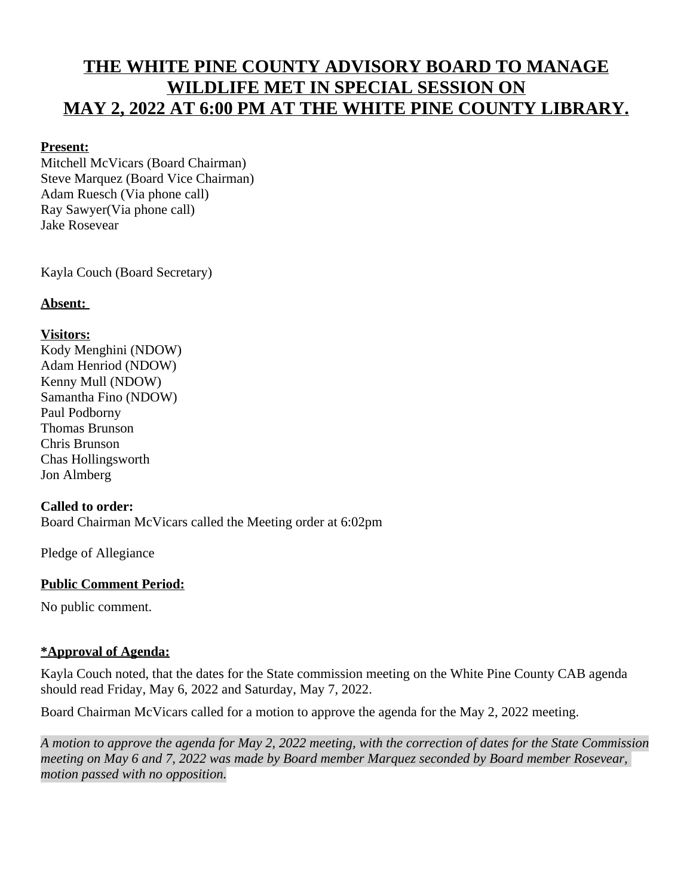# **THE WHITE PINE COUNTY ADVISORY BOARD TO MANAGE WILDLIFE MET IN SPECIAL SESSION ON MAY 2, 2022 AT 6:00 PM AT THE WHITE PINE COUNTY LIBRARY.**

## **Present:**

Mitchell McVicars (Board Chairman) Steve Marquez (Board Vice Chairman) Adam Ruesch (Via phone call) Ray Sawyer(Via phone call) Jake Rosevear

Kayla Couch (Board Secretary)

# **Absent:**

# **Visitors:**

Kody Menghini (NDOW) Adam Henriod (NDOW) Kenny Mull (NDOW) Samantha Fino (NDOW) Paul Podborny Thomas Brunson Chris Brunson Chas Hollingsworth Jon Almberg

#### **Called to order:**

Board Chairman McVicars called the Meeting order at 6:02pm

Pledge of Allegiance

# **Public Comment Period:**

No public comment.

# **\*Approval of Agenda:**

Kayla Couch noted, that the dates for the State commission meeting on the White Pine County CAB agenda should read Friday, May 6, 2022 and Saturday, May 7, 2022.

Board Chairman McVicars called for a motion to approve the agenda for the May 2, 2022 meeting.

*A motion to approve the agenda for May 2, 2022 meeting, with the correction of dates for the State Commission meeting on May 6 and 7, 2022 was made by Board member Marquez seconded by Board member Rosevear, motion passed with no opposition.*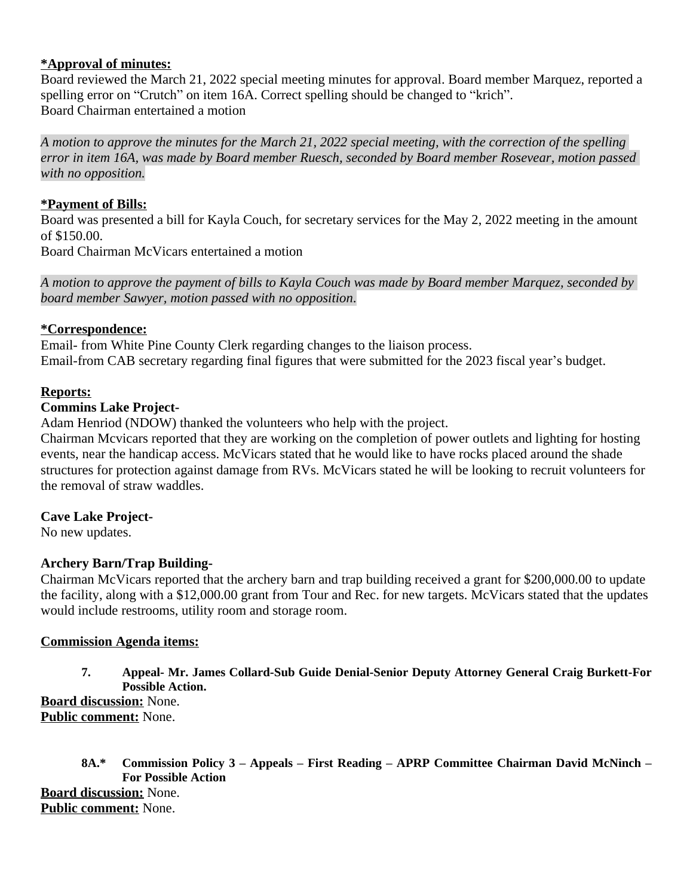# **\*Approval of minutes:**

Board reviewed the March 21, 2022 special meeting minutes for approval. Board member Marquez, reported a spelling error on "Crutch" on item 16A. Correct spelling should be changed to "krich". Board Chairman entertained a motion

*A motion to approve the minutes for the March 21, 2022 special meeting, with the correction of the spelling error in item 16A, was made by Board member Ruesch, seconded by Board member Rosevear, motion passed with no opposition.*

### **\*Payment of Bills:**

Board was presented a bill for Kayla Couch, for secretary services for the May 2, 2022 meeting in the amount of \$150.00.

Board Chairman McVicars entertained a motion

*A motion to approve the payment of bills to Kayla Couch was made by Board member Marquez, seconded by board member Sawyer, motion passed with no opposition*.

## **\*Correspondence:**

Email- from White Pine County Clerk regarding changes to the liaison process. Email-from CAB secretary regarding final figures that were submitted for the 2023 fiscal year's budget.

## **Reports:**

## **Commins Lake Project-**

Adam Henriod (NDOW) thanked the volunteers who help with the project.

Chairman Mcvicars reported that they are working on the completion of power outlets and lighting for hosting events, near the handicap access. McVicars stated that he would like to have rocks placed around the shade structures for protection against damage from RVs. McVicars stated he will be looking to recruit volunteers for the removal of straw waddles.

# **Cave Lake Project-**

No new updates.

# **Archery Barn/Trap Building-**

Chairman McVicars reported that the archery barn and trap building received a grant for \$200,000.00 to update the facility, along with a \$12,000.00 grant from Tour and Rec. for new targets. McVicars stated that the updates would include restrooms, utility room and storage room.

### **Commission Agenda items:**

**7. Appeal- Mr. James Collard-Sub Guide Denial-Senior Deputy Attorney General Craig Burkett-For Possible Action.**

**Board discussion:** None. **Public comment:** None.

**8A.\* Commission Policy 3 – Appeals – First Reading – APRP Committee Chairman David McNinch – For Possible Action Board discussion:** None. **Public comment:** None.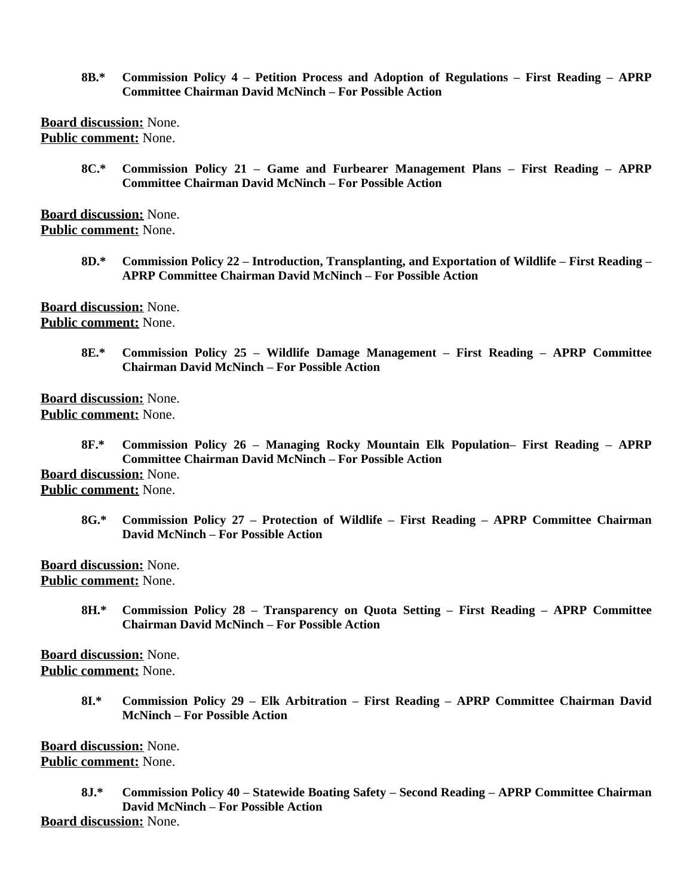**8B.\* Commission Policy 4 – Petition Process and Adoption of Regulations – First Reading – APRP Committee Chairman David McNinch – For Possible Action**

**Board discussion:** None. **Public comment:** None.

> **8C.\* Commission Policy 21 – Game and Furbearer Management Plans – First Reading – APRP Committee Chairman David McNinch – For Possible Action**

**Board discussion:** None. **Public comment:** None.

> **8D.\* Commission Policy 22 – Introduction, Transplanting, and Exportation of Wildlife – First Reading – APRP Committee Chairman David McNinch – For Possible Action**

**Board discussion:** None. **Public comment:** None.

> **8E.\* Commission Policy 25 – Wildlife Damage Management – First Reading – APRP Committee Chairman David McNinch – For Possible Action**

**Board discussion:** None. **Public comment:** None.

> **8F.\* Commission Policy 26 – Managing Rocky Mountain Elk Population– First Reading – APRP Committee Chairman David McNinch – For Possible Action**

**Board discussion:** None. **Public comment:** None.

> **8G.\* Commission Policy 27 – Protection of Wildlife – First Reading – APRP Committee Chairman David McNinch – For Possible Action**

**Board discussion:** None. **Public comment:** None.

> **8H.\* Commission Policy 28 – Transparency on Quota Setting – First Reading – APRP Committee Chairman David McNinch – For Possible Action**

**Board discussion:** None. **Public comment:** None.

> **8I.\* Commission Policy 29 – Elk Arbitration – First Reading – APRP Committee Chairman David McNinch – For Possible Action**

**Board discussion:** None. **Public comment:** None.

> **8J.\* Commission Policy 40 – Statewide Boating Safety – Second Reading – APRP Committee Chairman David McNinch – For Possible Action**

**Board discussion:** None.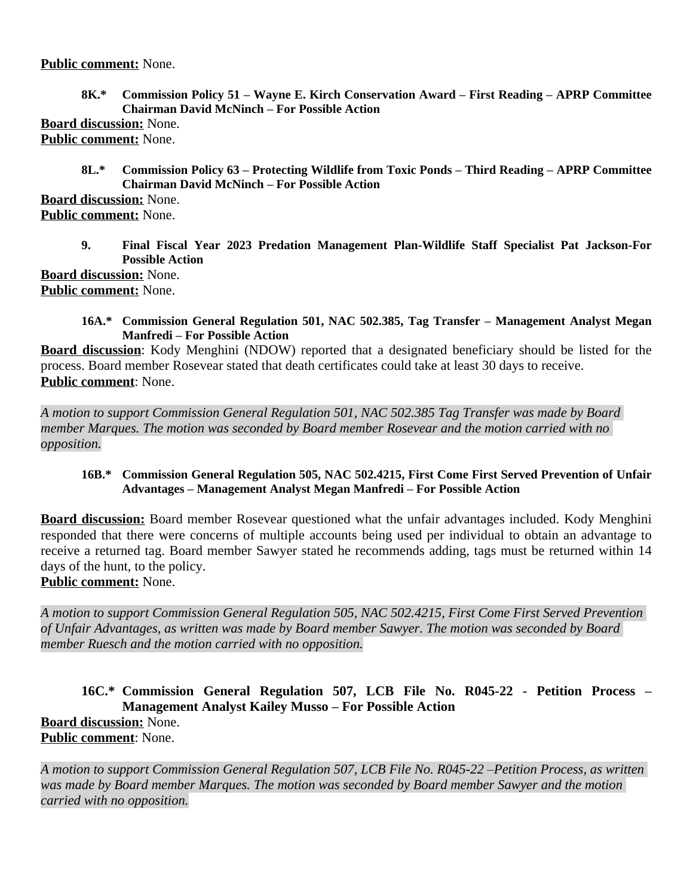### **Public comment:** None.

**8K.\* Commission Policy 51 – Wayne E. Kirch Conservation Award – First Reading – APRP Committee Chairman David McNinch – For Possible Action**

**Board discussion:** None. **Public comment:** None.

> **8L.\* Commission Policy 63 – Protecting Wildlife from Toxic Ponds – Third Reading – APRP Committee Chairman David McNinch – For Possible Action**

**Board discussion:** None. **Public comment:** None.

> **9. Final Fiscal Year 2023 Predation Management Plan-Wildlife Staff Specialist Pat Jackson-For Possible Action**

**Board discussion:** None. **Public comment:** None.

> **16A.\* Commission General Regulation 501, NAC 502.385, Tag Transfer – Management Analyst Megan Manfredi – For Possible Action**

**Board discussion**: Kody Menghini (NDOW) reported that a designated beneficiary should be listed for the process. Board member Rosevear stated that death certificates could take at least 30 days to receive. **Public comment**: None.

*A motion to support Commission General Regulation 501, NAC 502.385 Tag Transfer was made by Board member Marques. The motion was seconded by Board member Rosevear and the motion carried with no opposition.*

#### **16B.\* Commission General Regulation 505, NAC 502.4215, First Come First Served Prevention of Unfair Advantages – Management Analyst Megan Manfredi – For Possible Action**

**Board discussion:** Board member Rosevear questioned what the unfair advantages included. Kody Menghini responded that there were concerns of multiple accounts being used per individual to obtain an advantage to receive a returned tag. Board member Sawyer stated he recommends adding, tags must be returned within 14 days of the hunt, to the policy.

**Public comment:** None.

*A motion to support Commission General Regulation 505, NAC 502.4215, First Come First Served Prevention of Unfair Advantages, as written was made by Board member Sawyer. The motion was seconded by Board member Ruesch and the motion carried with no opposition.*

**16C.\* Commission General Regulation 507, LCB File No. R045-22 - Petition Process – Management Analyst Kailey Musso – For Possible Action Board discussion:** None. **Public comment**: None.

*A motion to support Commission General Regulation 507, LCB File No. R045-22 –Petition Process, as written was made by Board member Marques. The motion was seconded by Board member Sawyer and the motion carried with no opposition.*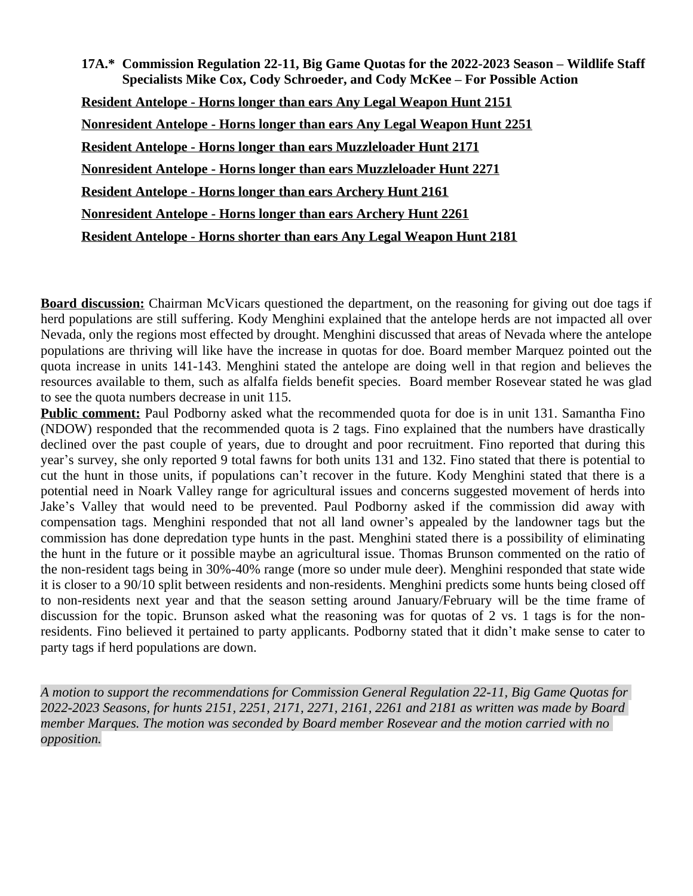**17A.\* Commission Regulation 22-11, Big Game Quotas for the 2022-2023 Season – Wildlife Staff Specialists Mike Cox, Cody Schroeder, and Cody McKee – For Possible Action Resident Antelope - Horns longer than ears Any Legal Weapon Hunt 2151 Nonresident Antelope - Horns longer than ears Any Legal Weapon Hunt 2251 Resident Antelope - Horns longer than ears Muzzleloader Hunt 2171 Nonresident Antelope - Horns longer than ears Muzzleloader Hunt 2271 Resident Antelope - Horns longer than ears Archery Hunt 2161 Nonresident Antelope - Horns longer than ears Archery Hunt 2261 Resident Antelope - Horns shorter than ears Any Legal Weapon Hunt 2181**

**Board discussion:** Chairman McVicars questioned the department, on the reasoning for giving out doe tags if herd populations are still suffering. Kody Menghini explained that the antelope herds are not impacted all over Nevada, only the regions most effected by drought. Menghini discussed that areas of Nevada where the antelope populations are thriving will like have the increase in quotas for doe. Board member Marquez pointed out the quota increase in units 141-143. Menghini stated the antelope are doing well in that region and believes the resources available to them, such as alfalfa fields benefit species. Board member Rosevear stated he was glad to see the quota numbers decrease in unit 115.

**Public comment:** Paul Podborny asked what the recommended quota for doe is in unit 131. Samantha Fino (NDOW) responded that the recommended quota is 2 tags. Fino explained that the numbers have drastically declined over the past couple of years, due to drought and poor recruitment. Fino reported that during this year's survey, she only reported 9 total fawns for both units 131 and 132. Fino stated that there is potential to cut the hunt in those units, if populations can't recover in the future. Kody Menghini stated that there is a potential need in Noark Valley range for agricultural issues and concerns suggested movement of herds into Jake's Valley that would need to be prevented. Paul Podborny asked if the commission did away with compensation tags. Menghini responded that not all land owner's appealed by the landowner tags but the commission has done depredation type hunts in the past. Menghini stated there is a possibility of eliminating the hunt in the future or it possible maybe an agricultural issue. Thomas Brunson commented on the ratio of the non-resident tags being in 30%-40% range (more so under mule deer). Menghini responded that state wide it is closer to a 90/10 split between residents and non-residents. Menghini predicts some hunts being closed off to non-residents next year and that the season setting around January/February will be the time frame of discussion for the topic. Brunson asked what the reasoning was for quotas of 2 vs. 1 tags is for the nonresidents. Fino believed it pertained to party applicants. Podborny stated that it didn't make sense to cater to party tags if herd populations are down.

*A motion to support the recommendations for Commission General Regulation 22-11, Big Game Quotas for 2022-2023 Seasons, for hunts 2151, 2251, 2171, 2271, 2161, 2261 and 2181 as written was made by Board member Marques. The motion was seconded by Board member Rosevear and the motion carried with no opposition.*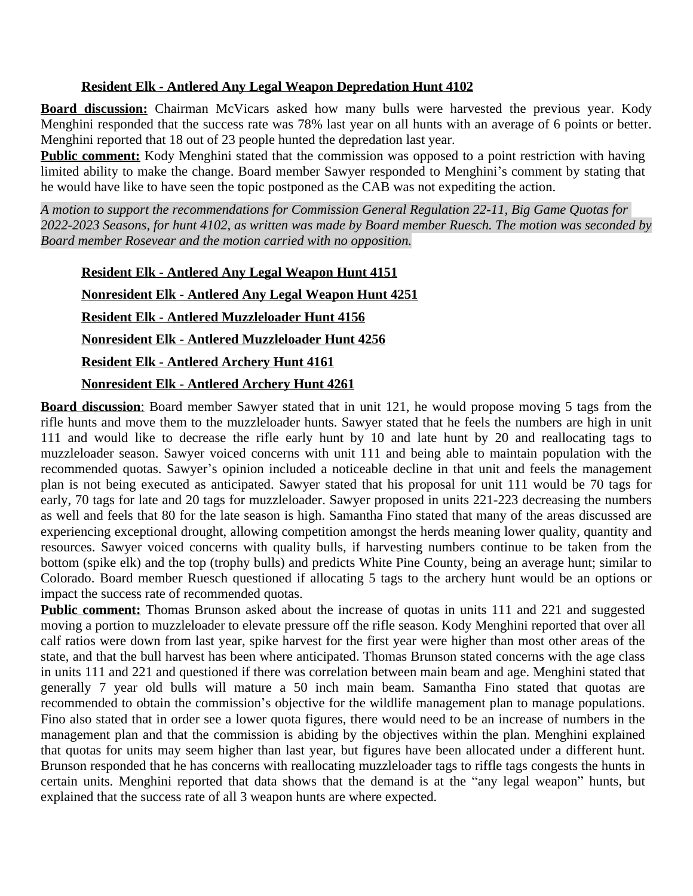## **Resident Elk - Antlered Any Legal Weapon Depredation Hunt 4102**

**Board discussion:** Chairman McVicars asked how many bulls were harvested the previous year. Kody Menghini responded that the success rate was 78% last year on all hunts with an average of 6 points or better. Menghini reported that 18 out of 23 people hunted the depredation last year.

**Public comment:** Kody Menghini stated that the commission was opposed to a point restriction with having limited ability to make the change. Board member Sawyer responded to Menghini's comment by stating that he would have like to have seen the topic postponed as the CAB was not expediting the action.

*A motion to support the recommendations for Commission General Regulation 22-11, Big Game Quotas for 2022-2023 Seasons, for hunt 4102, as written was made by Board member Ruesch. The motion was seconded by Board member Rosevear and the motion carried with no opposition.*

**Resident Elk - Antlered Any Legal Weapon Hunt 4151 Nonresident Elk - Antlered Any Legal Weapon Hunt 4251 Resident Elk - Antlered Muzzleloader Hunt 4156 Nonresident Elk - Antlered Muzzleloader Hunt 4256 Resident Elk - Antlered Archery Hunt 4161 Nonresident Elk - Antlered Archery Hunt 4261**

**Board discussion**: Board member Sawyer stated that in unit 121, he would propose moving 5 tags from the rifle hunts and move them to the muzzleloader hunts. Sawyer stated that he feels the numbers are high in unit 111 and would like to decrease the rifle early hunt by 10 and late hunt by 20 and reallocating tags to muzzleloader season. Sawyer voiced concerns with unit 111 and being able to maintain population with the recommended quotas. Sawyer's opinion included a noticeable decline in that unit and feels the management plan is not being executed as anticipated. Sawyer stated that his proposal for unit 111 would be 70 tags for early, 70 tags for late and 20 tags for muzzleloader. Sawyer proposed in units 221-223 decreasing the numbers as well and feels that 80 for the late season is high. Samantha Fino stated that many of the areas discussed are experiencing exceptional drought, allowing competition amongst the herds meaning lower quality, quantity and resources. Sawyer voiced concerns with quality bulls, if harvesting numbers continue to be taken from the bottom (spike elk) and the top (trophy bulls) and predicts White Pine County, being an average hunt; similar to Colorado. Board member Ruesch questioned if allocating 5 tags to the archery hunt would be an options or impact the success rate of recommended quotas.

**Public comment:** Thomas Brunson asked about the increase of quotas in units 111 and 221 and suggested moving a portion to muzzleloader to elevate pressure off the rifle season. Kody Menghini reported that over all calf ratios were down from last year, spike harvest for the first year were higher than most other areas of the state, and that the bull harvest has been where anticipated. Thomas Brunson stated concerns with the age class in units 111 and 221 and questioned if there was correlation between main beam and age. Menghini stated that generally 7 year old bulls will mature a 50 inch main beam. Samantha Fino stated that quotas are recommended to obtain the commission's objective for the wildlife management plan to manage populations. Fino also stated that in order see a lower quota figures, there would need to be an increase of numbers in the management plan and that the commission is abiding by the objectives within the plan. Menghini explained that quotas for units may seem higher than last year, but figures have been allocated under a different hunt. Brunson responded that he has concerns with reallocating muzzleloader tags to riffle tags congests the hunts in certain units. Menghini reported that data shows that the demand is at the "any legal weapon" hunts, but explained that the success rate of all 3 weapon hunts are where expected.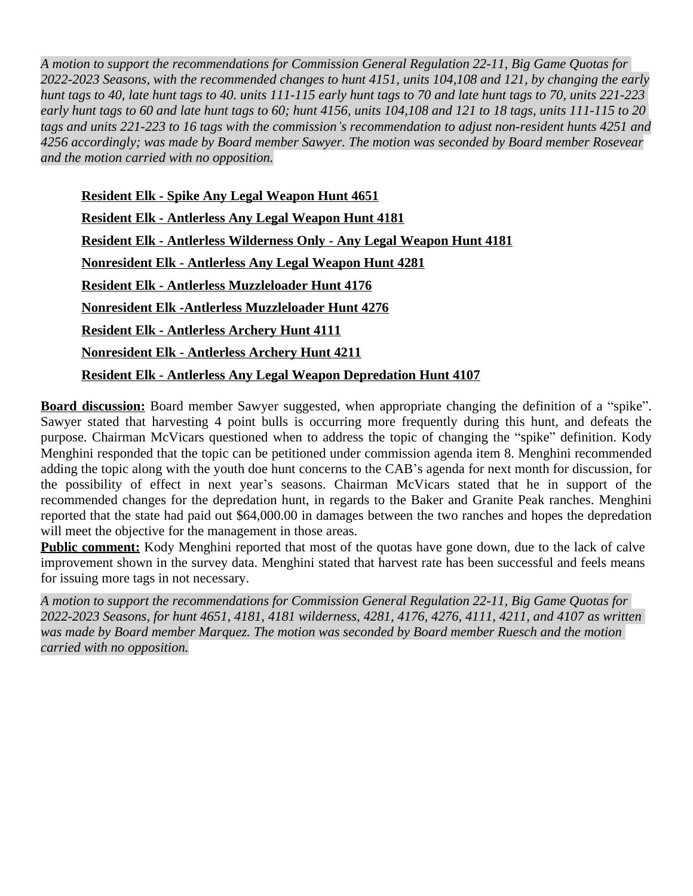*A motion to support the recommendations for Commission General Regulation 22-11, Big Game Quotas for 2022-2023 Seasons, with the recommended changes to hunt 4151, units 104,108 and 121, by changing the early hunt tags to 40, late hunt tags to 40. units 111-115 early hunt tags to 70 and late hunt tags to 70, units 221-223 early hunt tags to 60 and late hunt tags to 60; hunt 4156, units 104,108 and 121 to 18 tags, units 111-115 to 20 tags and units 221-223 to 16 tags with the commission's recommendation to adjust non-resident hunts 4251 and 4256 accordingly; was made by Board member Sawyer. The motion was seconded by Board member Rosevear and the motion carried with no opposition.*

**Resident Elk - Spike Any Legal Weapon Hunt 4651 Resident Elk - Antlerless Any Legal Weapon Hunt 4181 Resident Elk - Antlerless Wilderness Only - Any Legal Weapon Hunt 4181 Nonresident Elk - Antlerless Any Legal Weapon Hunt 4281 Resident Elk - Antlerless Muzzleloader Hunt 4176 Nonresident Elk -Antlerless Muzzleloader Hunt 4276 Resident Elk - Antlerless Archery Hunt 4111 Nonresident Elk - Antlerless Archery Hunt 4211 Resident Elk - Antlerless Any Legal Weapon Depredation Hunt 4107**

**Board discussion:** Board member Sawyer suggested, when appropriate changing the definition of a "spike". Sawyer stated that harvesting 4 point bulls is occurring more frequently during this hunt, and defeats the purpose. Chairman McVicars questioned when to address the topic of changing the "spike" definition. Kody Menghini responded that the topic can be petitioned under commission agenda item 8. Menghini recommended adding the topic along with the youth doe hunt concerns to the CAB's agenda for next month for discussion, for the possibility of effect in next year's seasons. Chairman McVicars stated that he in support of the recommended changes for the depredation hunt, in regards to the Baker and Granite Peak ranches. Menghini reported that the state had paid out \$64,000.00 in damages between the two ranches and hopes the depredation will meet the objective for the management in those areas.

**Public comment:** Kody Menghini reported that most of the quotas have gone down, due to the lack of calve improvement shown in the survey data. Menghini stated that harvest rate has been successful and feels means for issuing more tags in not necessary.

*A motion to support the recommendations for Commission General Regulation 22-11, Big Game Quotas for 2022-2023 Seasons, for hunt 4651, 4181, 4181 wilderness, 4281, 4176, 4276, 4111, 4211, and 4107 as written was made by Board member Marquez. The motion was seconded by Board member Ruesch and the motion carried with no opposition.*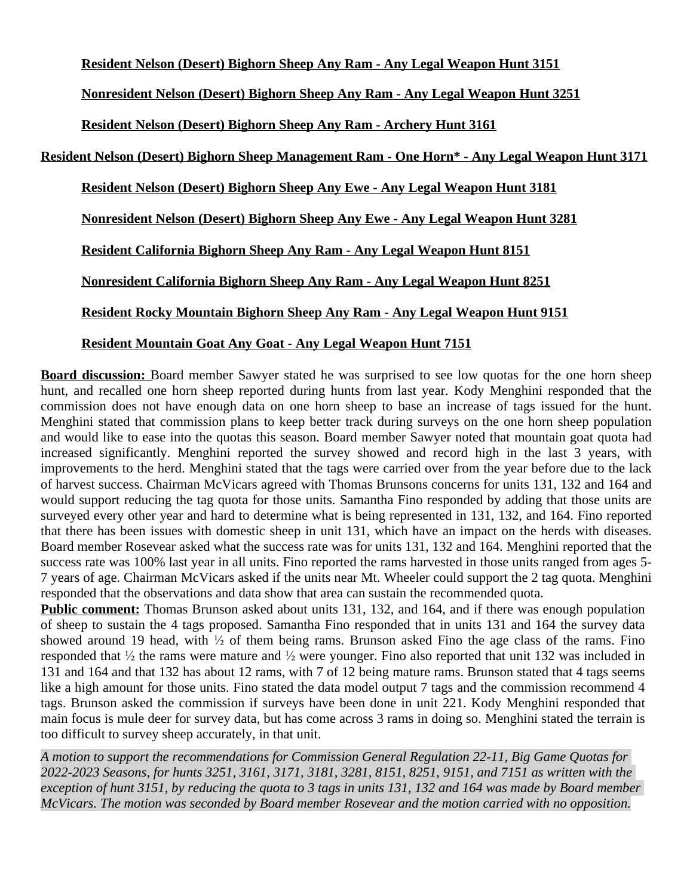**Resident Nelson (Desert) Bighorn Sheep Any Ram - Any Legal Weapon Hunt 3151**

**Nonresident Nelson (Desert) Bighorn Sheep Any Ram - Any Legal Weapon Hunt 3251**

**Resident Nelson (Desert) Bighorn Sheep Any Ram - Archery Hunt 3161**

**Resident Nelson (Desert) Bighorn Sheep Management Ram - One Horn\* - Any Legal Weapon Hunt 3171**

**Resident Nelson (Desert) Bighorn Sheep Any Ewe - Any Legal Weapon Hunt 3181**

**Nonresident Nelson (Desert) Bighorn Sheep Any Ewe - Any Legal Weapon Hunt 3281**

**Resident California Bighorn Sheep Any Ram - Any Legal Weapon Hunt 8151**

**Nonresident California Bighorn Sheep Any Ram - Any Legal Weapon Hunt 8251**

**Resident Rocky Mountain Bighorn Sheep Any Ram - Any Legal Weapon Hunt 9151**

# **Resident Mountain Goat Any Goat - Any Legal Weapon Hunt 7151**

**Board discussion:** Board member Sawyer stated he was surprised to see low quotas for the one horn sheep hunt, and recalled one horn sheep reported during hunts from last year. Kody Menghini responded that the commission does not have enough data on one horn sheep to base an increase of tags issued for the hunt. Menghini stated that commission plans to keep better track during surveys on the one horn sheep population and would like to ease into the quotas this season. Board member Sawyer noted that mountain goat quota had increased significantly. Menghini reported the survey showed and record high in the last 3 years, with improvements to the herd. Menghini stated that the tags were carried over from the year before due to the lack of harvest success. Chairman McVicars agreed with Thomas Brunsons concerns for units 131, 132 and 164 and would support reducing the tag quota for those units. Samantha Fino responded by adding that those units are surveyed every other year and hard to determine what is being represented in 131, 132, and 164. Fino reported that there has been issues with domestic sheep in unit 131, which have an impact on the herds with diseases. Board member Rosevear asked what the success rate was for units 131, 132 and 164. Menghini reported that the success rate was 100% last year in all units. Fino reported the rams harvested in those units ranged from ages 5- 7 years of age. Chairman McVicars asked if the units near Mt. Wheeler could support the 2 tag quota. Menghini responded that the observations and data show that area can sustain the recommended quota.

**Public comment:** Thomas Brunson asked about units 131, 132, and 164, and if there was enough population of sheep to sustain the 4 tags proposed. Samantha Fino responded that in units 131 and 164 the survey data showed around 19 head, with ½ of them being rams. Brunson asked Fino the age class of the rams. Fino responded that ½ the rams were mature and ½ were younger. Fino also reported that unit 132 was included in 131 and 164 and that 132 has about 12 rams, with 7 of 12 being mature rams. Brunson stated that 4 tags seems like a high amount for those units. Fino stated the data model output 7 tags and the commission recommend 4 tags. Brunson asked the commission if surveys have been done in unit 221. Kody Menghini responded that main focus is mule deer for survey data, but has come across 3 rams in doing so. Menghini stated the terrain is too difficult to survey sheep accurately, in that unit.

*A motion to support the recommendations for Commission General Regulation 22-11, Big Game Quotas for 2022-2023 Seasons, for hunts 3251, 3161, 3171, 3181, 3281, 8151, 8251, 9151, and 7151 as written with the exception of hunt 3151, by reducing the quota to 3 tags in units 131, 132 and 164 was made by Board member McVicars. The motion was seconded by Board member Rosevear and the motion carried with no opposition.*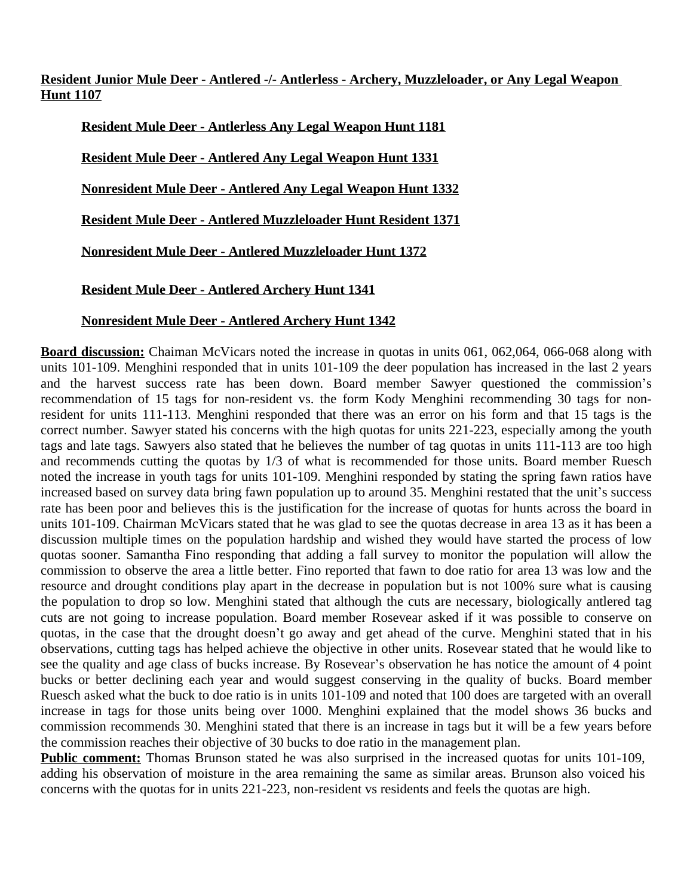**Resident Junior Mule Deer - Antlered -/- Antlerless - Archery, Muzzleloader, or Any Legal Weapon Hunt 1107**

**Resident Mule Deer - Antlerless Any Legal Weapon Hunt 1181**

**Resident Mule Deer - Antlered Any Legal Weapon Hunt 1331**

**Nonresident Mule Deer - Antlered Any Legal Weapon Hunt 1332**

**Resident Mule Deer - Antlered Muzzleloader Hunt Resident 1371**

**Nonresident Mule Deer - Antlered Muzzleloader Hunt 1372**

**Resident Mule Deer - Antlered Archery Hunt 1341**

# **Nonresident Mule Deer - Antlered Archery Hunt 1342**

**Board discussion:** Chaiman McVicars noted the increase in quotas in units 061, 062,064, 066-068 along with units 101-109. Menghini responded that in units 101-109 the deer population has increased in the last 2 years and the harvest success rate has been down. Board member Sawyer questioned the commission's recommendation of 15 tags for non-resident vs. the form Kody Menghini recommending 30 tags for nonresident for units 111-113. Menghini responded that there was an error on his form and that 15 tags is the correct number. Sawyer stated his concerns with the high quotas for units 221-223, especially among the youth tags and late tags. Sawyers also stated that he believes the number of tag quotas in units 111-113 are too high and recommends cutting the quotas by 1/3 of what is recommended for those units. Board member Ruesch noted the increase in youth tags for units 101-109. Menghini responded by stating the spring fawn ratios have increased based on survey data bring fawn population up to around 35. Menghini restated that the unit's success rate has been poor and believes this is the justification for the increase of quotas for hunts across the board in units 101-109. Chairman McVicars stated that he was glad to see the quotas decrease in area 13 as it has been a discussion multiple times on the population hardship and wished they would have started the process of low quotas sooner. Samantha Fino responding that adding a fall survey to monitor the population will allow the commission to observe the area a little better. Fino reported that fawn to doe ratio for area 13 was low and the resource and drought conditions play apart in the decrease in population but is not 100% sure what is causing the population to drop so low. Menghini stated that although the cuts are necessary, biologically antlered tag cuts are not going to increase population. Board member Rosevear asked if it was possible to conserve on quotas, in the case that the drought doesn't go away and get ahead of the curve. Menghini stated that in his observations, cutting tags has helped achieve the objective in other units. Rosevear stated that he would like to see the quality and age class of bucks increase. By Rosevear's observation he has notice the amount of 4 point bucks or better declining each year and would suggest conserving in the quality of bucks. Board member Ruesch asked what the buck to doe ratio is in units 101-109 and noted that 100 does are targeted with an overall increase in tags for those units being over 1000. Menghini explained that the model shows 36 bucks and commission recommends 30. Menghini stated that there is an increase in tags but it will be a few years before the commission reaches their objective of 30 bucks to doe ratio in the management plan.

**Public comment:** Thomas Brunson stated he was also surprised in the increased quotas for units 101-109, adding his observation of moisture in the area remaining the same as similar areas. Brunson also voiced his concerns with the quotas for in units 221-223, non-resident vs residents and feels the quotas are high.